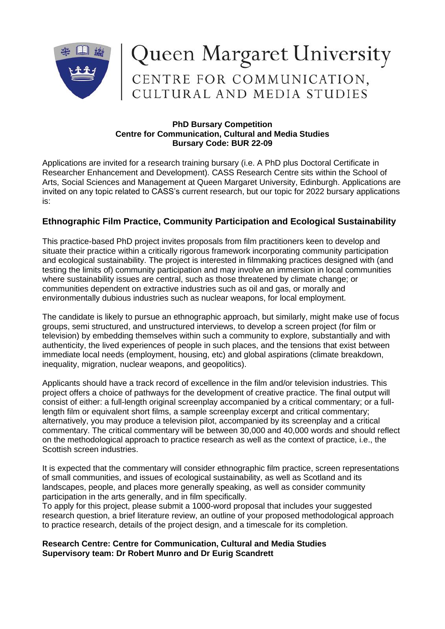

## Queen Margaret University<br>CENTRE FOR COMMUNICATION,<br>CULTURAL AND MEDIA STUDIES

## **PhD Bursary Competition Centre for Communication, Cultural and Media Studies Bursary Code: BUR 22-09**

Applications are invited for a research training bursary (i.e. A PhD plus Doctoral Certificate in Researcher Enhancement and Development). CASS Research Centre sits within the School of Arts, Social Sciences and Management at Queen Margaret University, Edinburgh. Applications are invited on any topic related to CASS's current research, but our topic for 2022 bursary applications is:

## **Ethnographic Film Practice, Community Participation and Ecological Sustainability**

This practice-based PhD project invites proposals from film practitioners keen to develop and situate their practice within a critically rigorous framework incorporating community participation and ecological sustainability. The project is interested in filmmaking practices designed with (and testing the limits of) community participation and may involve an immersion in local communities where sustainability issues are central, such as those threatened by climate change; or communities dependent on extractive industries such as oil and gas, or morally and environmentally dubious industries such as nuclear weapons, for local employment.

The candidate is likely to pursue an ethnographic approach, but similarly, might make use of focus groups, semi structured, and unstructured interviews, to develop a screen project (for film or television) by embedding themselves within such a community to explore, substantially and with authenticity, the lived experiences of people in such places, and the tensions that exist between immediate local needs (employment, housing, etc) and global aspirations (climate breakdown, inequality, migration, nuclear weapons, and geopolitics).

Applicants should have a track record of excellence in the film and/or television industries. This project offers a choice of pathways for the development of creative practice. The final output will consist of either: a full-length original screenplay accompanied by a critical commentary; or a fulllength film or equivalent short films, a sample screenplay excerpt and critical commentary; alternatively, you may produce a television pilot, accompanied by its screenplay and a critical commentary. The critical commentary will be between 30,000 and 40,000 words and should reflect on the methodological approach to practice research as well as the context of practice, i.e., the Scottish screen industries.

It is expected that the commentary will consider ethnographic film practice, screen representations of small communities, and issues of ecological sustainability, as well as Scotland and its landscapes, people, and places more generally speaking, as well as consider community participation in the arts generally, and in film specifically.

To apply for this project, please submit a 1000-word proposal that includes your suggested research question, a brief literature review, an outline of your proposed methodological approach to practice research, details of the project design, and a timescale for its completion.

## **Research Centre: Centre for Communication, Cultural and Media Studies Supervisory team: Dr Robert Munro and Dr Eurig Scandrett**